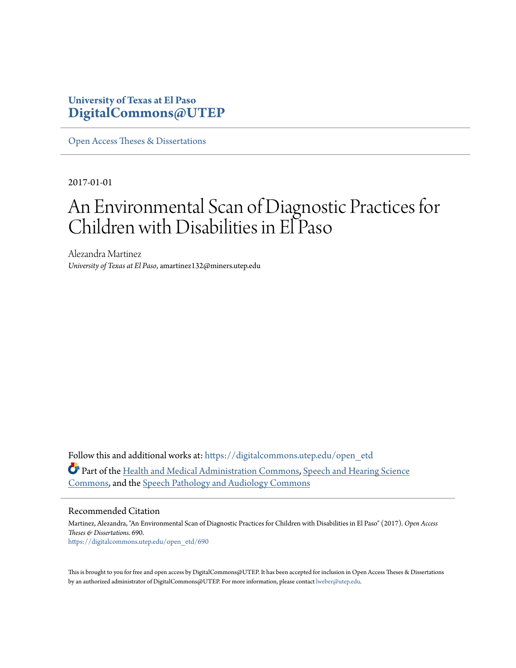## **University of Texas at El Paso [DigitalCommons@UTEP](https://digitalcommons.utep.edu/?utm_source=digitalcommons.utep.edu%2Fopen_etd%2F690&utm_medium=PDF&utm_campaign=PDFCoverPages)**

[Open Access Theses & Dissertations](https://digitalcommons.utep.edu/open_etd?utm_source=digitalcommons.utep.edu%2Fopen_etd%2F690&utm_medium=PDF&utm_campaign=PDFCoverPages)

2017-01-01

# An Environmental Scan of Diagnostic Practices for Children with Disabilities in El Paso

Alezandra Martinez *University of Texas at El Paso*, amartinez132@miners.utep.edu

Follow this and additional works at: [https://digitalcommons.utep.edu/open\\_etd](https://digitalcommons.utep.edu/open_etd?utm_source=digitalcommons.utep.edu%2Fopen_etd%2F690&utm_medium=PDF&utm_campaign=PDFCoverPages) Part of the [Health and Medical Administration Commons](http://network.bepress.com/hgg/discipline/663?utm_source=digitalcommons.utep.edu%2Fopen_etd%2F690&utm_medium=PDF&utm_campaign=PDFCoverPages), [Speech and Hearing Science](http://network.bepress.com/hgg/discipline/1033?utm_source=digitalcommons.utep.edu%2Fopen_etd%2F690&utm_medium=PDF&utm_campaign=PDFCoverPages) [Commons,](http://network.bepress.com/hgg/discipline/1033?utm_source=digitalcommons.utep.edu%2Fopen_etd%2F690&utm_medium=PDF&utm_campaign=PDFCoverPages) and the [Speech Pathology and Audiology Commons](http://network.bepress.com/hgg/discipline/1035?utm_source=digitalcommons.utep.edu%2Fopen_etd%2F690&utm_medium=PDF&utm_campaign=PDFCoverPages)

#### Recommended Citation

Martinez, Alezandra, "An Environmental Scan of Diagnostic Practices for Children with Disabilities in El Paso" (2017). *Open Access Theses & Dissertations*. 690. [https://digitalcommons.utep.edu/open\\_etd/690](https://digitalcommons.utep.edu/open_etd/690?utm_source=digitalcommons.utep.edu%2Fopen_etd%2F690&utm_medium=PDF&utm_campaign=PDFCoverPages)

This is brought to you for free and open access by DigitalCommons@UTEP. It has been accepted for inclusion in Open Access Theses & Dissertations by an authorized administrator of DigitalCommons@UTEP. For more information, please contact [lweber@utep.edu.](mailto:lweber@utep.edu)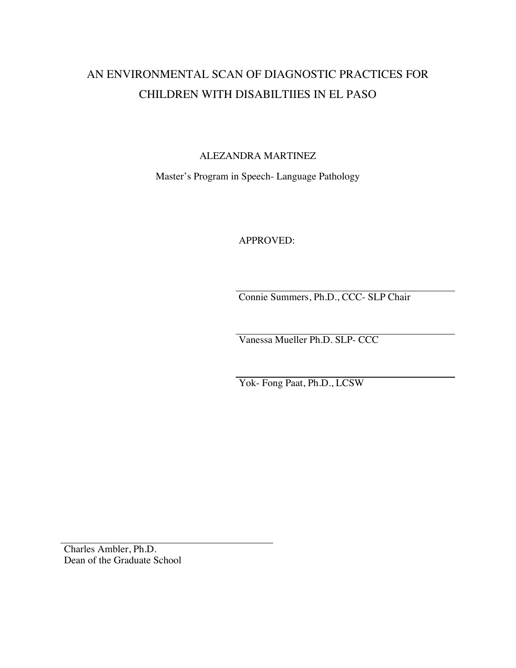## AN ENVIRONMENTAL SCAN OF DIAGNOSTIC PRACTICES FOR CHILDREN WITH DISABILTIIES IN EL PASO

ALEZANDRA MARTINEZ

Master's Program in Speech- Language Pathology

APPROVED:

Connie Summers, Ph.D., CCC- SLP Chair

Vanessa Mueller Ph.D. SLP- CCC

Yok- Fong Paat, Ph.D., LCSW

Charles Ambler, Ph.D. Dean of the Graduate School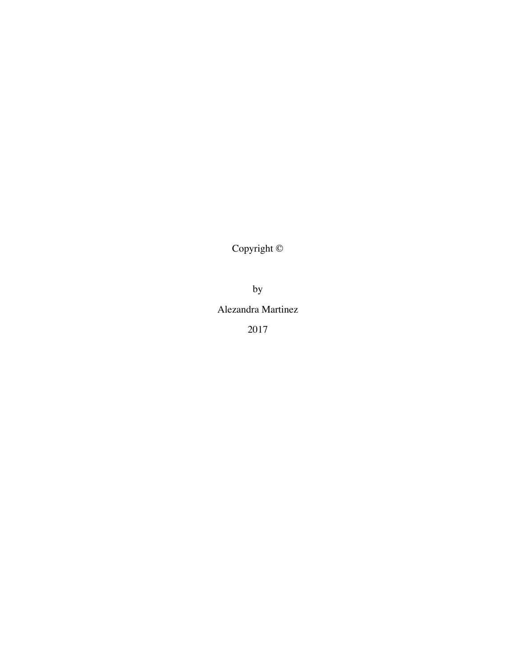Copyright ©

by

Alezandra Martinez

2017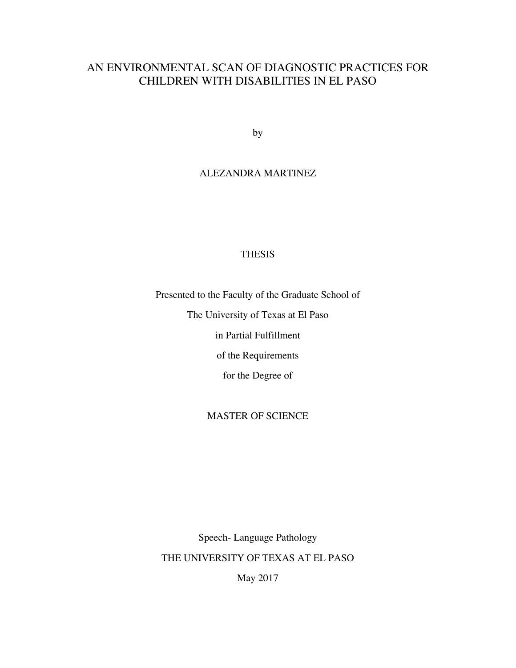## AN ENVIRONMENTAL SCAN OF DIAGNOSTIC PRACTICES FOR CHILDREN WITH DISABILITIES IN EL PASO

by

## ALEZANDRA MARTINEZ

#### THESIS

Presented to the Faculty of the Graduate School of

The University of Texas at El Paso

in Partial Fulfillment

of the Requirements

for the Degree of

#### MASTER OF SCIENCE

Speech- Language Pathology THE UNIVERSITY OF TEXAS AT EL PASO

May 2017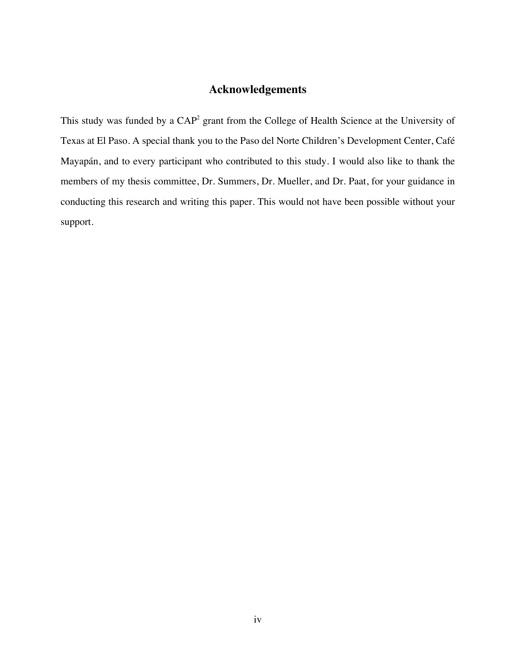## **Acknowledgements**

This study was funded by a CAP<sup>2</sup> grant from the College of Health Science at the University of Texas at El Paso. A special thank you to the Paso del Norte Children's Development Center, Café Mayapán, and to every participant who contributed to this study. I would also like to thank the members of my thesis committee, Dr. Summers, Dr. Mueller, and Dr. Paat, for your guidance in conducting this research and writing this paper. This would not have been possible without your support.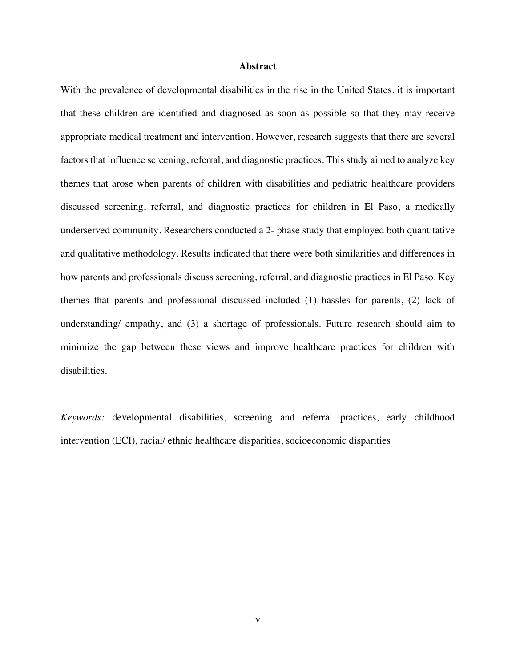#### **Abstract**

With the prevalence of developmental disabilities in the rise in the United States, it is important that these children are identified and diagnosed as soon as possible so that they may receive appropriate medical treatment and intervention. However, research suggests that there are several factors that influence screening, referral, and diagnostic practices. This study aimed to analyze key themes that arose when parents of children with disabilities and pediatric healthcare providers discussed screening, referral, and diagnostic practices for children in El Paso, a medically underserved community. Researchers conducted a 2- phase study that employed both quantitative and qualitative methodology. Results indicated that there were both similarities and differences in how parents and professionals discuss screening, referral, and diagnostic practices in El Paso. Key themes that parents and professional discussed included (1) hassles for parents, (2) lack of understanding/ empathy, and (3) a shortage of professionals. Future research should aim to minimize the gap between these views and improve healthcare practices for children with disabilities.

*Keywords:* developmental disabilities, screening and referral practices, early childhood intervention (ECI), racial/ ethnic healthcare disparities, socioeconomic disparities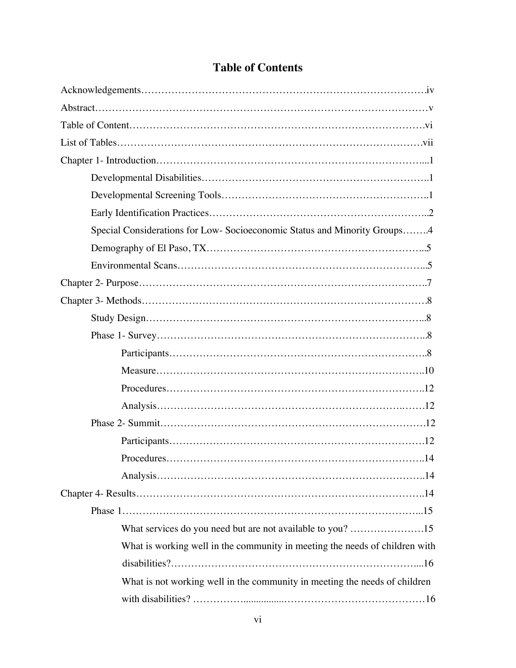| Special Considerations for Low- Socioeconomic Status and Minority Groups4   |
|-----------------------------------------------------------------------------|
|                                                                             |
|                                                                             |
|                                                                             |
|                                                                             |
|                                                                             |
|                                                                             |
|                                                                             |
|                                                                             |
|                                                                             |
|                                                                             |
|                                                                             |
|                                                                             |
|                                                                             |
|                                                                             |
|                                                                             |
|                                                                             |
| What services do you need but are not available to you? 15                  |
| What is working well in the community in meeting the needs of children with |
|                                                                             |
| What is not working well in the community in meeting the needs of children  |
|                                                                             |

## **Table of Contents**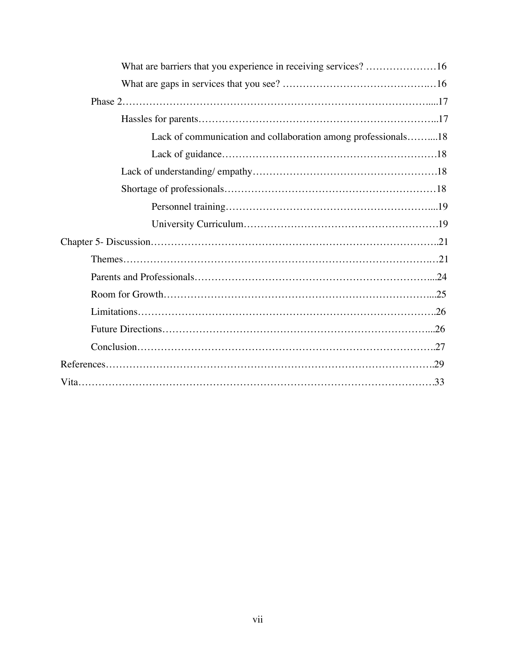| What are barriers that you experience in receiving services? 16 |  |
|-----------------------------------------------------------------|--|
|                                                                 |  |
|                                                                 |  |
|                                                                 |  |
| Lack of communication and collaboration among professionals18   |  |
|                                                                 |  |
|                                                                 |  |
|                                                                 |  |
|                                                                 |  |
|                                                                 |  |
|                                                                 |  |
|                                                                 |  |
|                                                                 |  |
|                                                                 |  |
|                                                                 |  |
|                                                                 |  |
|                                                                 |  |
|                                                                 |  |
|                                                                 |  |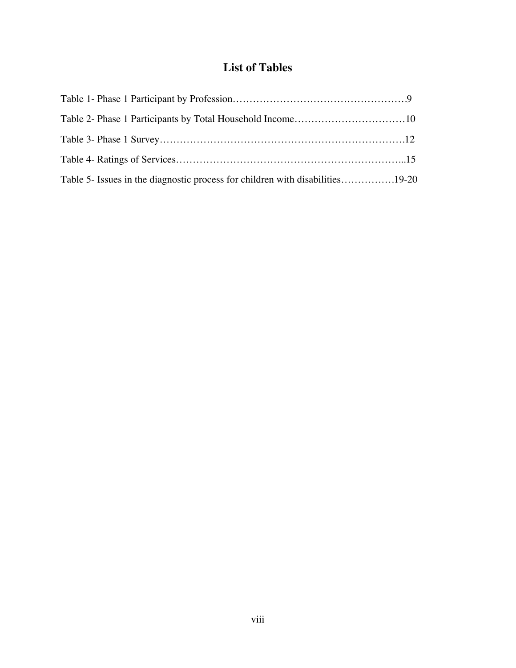## **List of Tables**

| Table 5- Issues in the diagnostic process for children with disabilities19-20 |  |
|-------------------------------------------------------------------------------|--|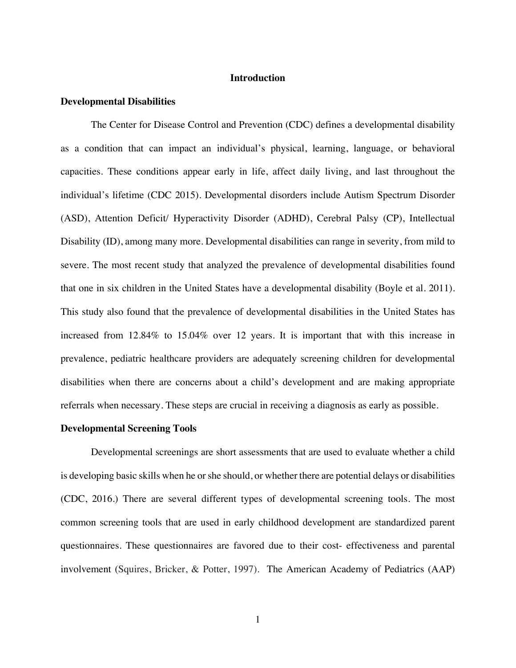#### **Introduction**

#### **Developmental Disabilities**

The Center for Disease Control and Prevention (CDC) defines a developmental disability as a condition that can impact an individual's physical, learning, language, or behavioral capacities. These conditions appear early in life, affect daily living, and last throughout the individual's lifetime (CDC 2015). Developmental disorders include Autism Spectrum Disorder (ASD), Attention Deficit/ Hyperactivity Disorder (ADHD), Cerebral Palsy (CP), Intellectual Disability (ID), among many more. Developmental disabilities can range in severity, from mild to severe. The most recent study that analyzed the prevalence of developmental disabilities found that one in six children in the United States have a developmental disability (Boyle et al. 2011). This study also found that the prevalence of developmental disabilities in the United States has increased from 12.84% to 15.04% over 12 years. It is important that with this increase in prevalence, pediatric healthcare providers are adequately screening children for developmental disabilities when there are concerns about a child's development and are making appropriate referrals when necessary. These steps are crucial in receiving a diagnosis as early as possible.

#### **Developmental Screening Tools**

Developmental screenings are short assessments that are used to evaluate whether a child is developing basic skills when he or she should, or whether there are potential delays or disabilities (CDC, 2016.) There are several different types of developmental screening tools. The most common screening tools that are used in early childhood development are standardized parent questionnaires. These questionnaires are favored due to their cost- effectiveness and parental involvement (Squires, Bricker, & Potter, 1997). The American Academy of Pediatrics (AAP)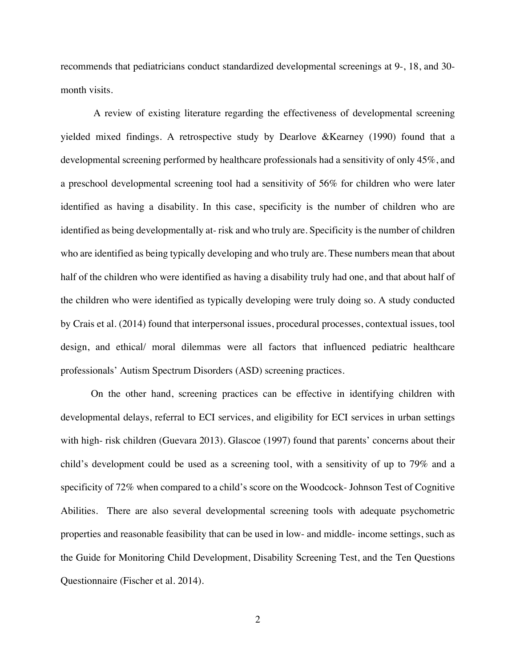recommends that pediatricians conduct standardized developmental screenings at 9-, 18, and 30 month visits.

A review of existing literature regarding the effectiveness of developmental screening yielded mixed findings. A retrospective study by Dearlove &Kearney (1990) found that a developmental screening performed by healthcare professionals had a sensitivity of only 45%, and a preschool developmental screening tool had a sensitivity of 56% for children who were later identified as having a disability. In this case, specificity is the number of children who are identified as being developmentally at- risk and who truly are. Specificity is the number of children who are identified as being typically developing and who truly are. These numbers mean that about half of the children who were identified as having a disability truly had one, and that about half of the children who were identified as typically developing were truly doing so. A study conducted by Crais et al. (2014) found that interpersonal issues, procedural processes, contextual issues, tool design, and ethical/ moral dilemmas were all factors that influenced pediatric healthcare professionals' Autism Spectrum Disorders (ASD) screening practices.

On the other hand, screening practices can be effective in identifying children with developmental delays, referral to ECI services, and eligibility for ECI services in urban settings with high- risk children (Guevara 2013). Glascoe (1997) found that parents' concerns about their child's development could be used as a screening tool, with a sensitivity of up to 79% and a specificity of 72% when compared to a child's score on the Woodcock- Johnson Test of Cognitive Abilities. There are also several developmental screening tools with adequate psychometric properties and reasonable feasibility that can be used in low- and middle- income settings, such as the Guide for Monitoring Child Development, Disability Screening Test, and the Ten Questions Questionnaire (Fischer et al. 2014).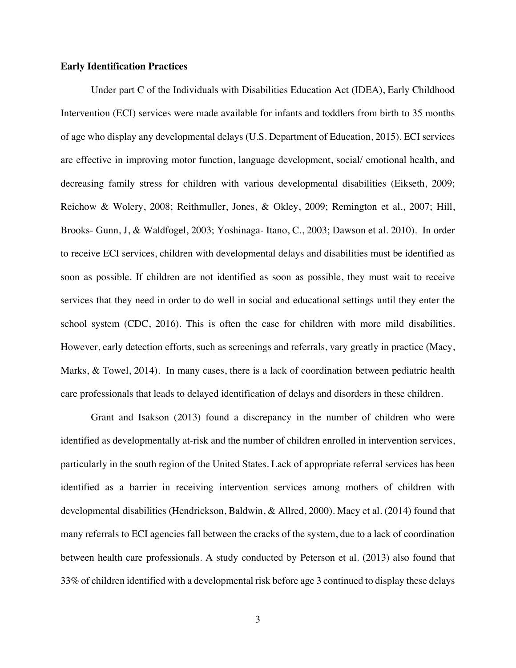#### **Early Identification Practices**

Under part C of the Individuals with Disabilities Education Act (IDEA), Early Childhood Intervention (ECI) services were made available for infants and toddlers from birth to 35 months of age who display any developmental delays (U.S. Department of Education, 2015). ECI services are effective in improving motor function, language development, social/ emotional health, and decreasing family stress for children with various developmental disabilities (Eikseth, 2009; Reichow & Wolery, 2008; Reithmuller, Jones, & Okley, 2009; Remington et al., 2007; Hill, Brooks- Gunn, J, & Waldfogel, 2003; Yoshinaga- Itano, C., 2003; Dawson et al. 2010). In order to receive ECI services, children with developmental delays and disabilities must be identified as soon as possible. If children are not identified as soon as possible, they must wait to receive services that they need in order to do well in social and educational settings until they enter the school system (CDC, 2016). This is often the case for children with more mild disabilities. However, early detection efforts, such as screenings and referrals, vary greatly in practice (Macy, Marks, & Towel, 2014). In many cases, there is a lack of coordination between pediatric health care professionals that leads to delayed identification of delays and disorders in these children.

Grant and Isakson (2013) found a discrepancy in the number of children who were identified as developmentally at-risk and the number of children enrolled in intervention services, particularly in the south region of the United States. Lack of appropriate referral services has been identified as a barrier in receiving intervention services among mothers of children with developmental disabilities (Hendrickson, Baldwin, & Allred, 2000). Macy et al. (2014) found that many referrals to ECI agencies fall between the cracks of the system, due to a lack of coordination between health care professionals. A study conducted by Peterson et al. (2013) also found that 33% of children identified with a developmental risk before age 3 continued to display these delays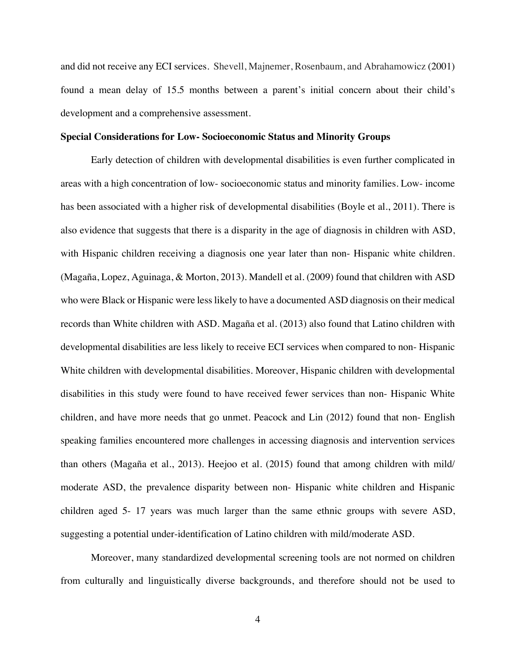and did not receive any ECI services. Shevell, Majnemer, Rosenbaum, and Abrahamowicz (2001) found a mean delay of 15.5 months between a parent's initial concern about their child's development and a comprehensive assessment.

#### **Special Considerations for Low- Socioeconomic Status and Minority Groups**

Early detection of children with developmental disabilities is even further complicated in areas with a high concentration of low- socioeconomic status and minority families. Low- income has been associated with a higher risk of developmental disabilities (Boyle et al., 2011). There is also evidence that suggests that there is a disparity in the age of diagnosis in children with ASD, with Hispanic children receiving a diagnosis one year later than non-Hispanic white children. (Magaña, Lopez, Aguinaga, & Morton, 2013). Mandell et al. (2009) found that children with ASD who were Black or Hispanic were less likely to have a documented ASD diagnosis on their medical records than White children with ASD. Magaña et al. (2013) also found that Latino children with developmental disabilities are less likely to receive ECI services when compared to non- Hispanic White children with developmental disabilities. Moreover, Hispanic children with developmental disabilities in this study were found to have received fewer services than non- Hispanic White children, and have more needs that go unmet. Peacock and Lin (2012) found that non- English speaking families encountered more challenges in accessing diagnosis and intervention services than others (Magaña et al., 2013). Heejoo et al. (2015) found that among children with mild/ moderate ASD, the prevalence disparity between non- Hispanic white children and Hispanic children aged 5- 17 years was much larger than the same ethnic groups with severe ASD, suggesting a potential under-identification of Latino children with mild/moderate ASD.

Moreover, many standardized developmental screening tools are not normed on children from culturally and linguistically diverse backgrounds, and therefore should not be used to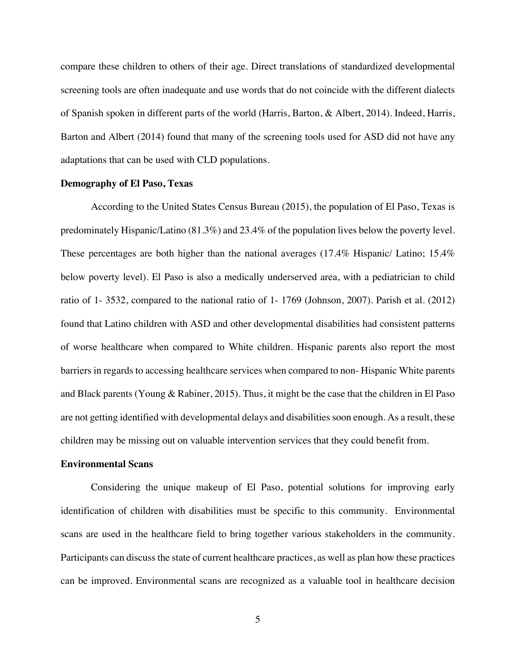compare these children to others of their age. Direct translations of standardized developmental screening tools are often inadequate and use words that do not coincide with the different dialects of Spanish spoken in different parts of the world (Harris, Barton, & Albert, 2014). Indeed, Harris, Barton and Albert (2014) found that many of the screening tools used for ASD did not have any adaptations that can be used with CLD populations.

#### **Demography of El Paso, Texas**

According to the United States Census Bureau (2015), the population of El Paso, Texas is predominately Hispanic/Latino (81.3%) and 23.4% of the population lives below the poverty level. These percentages are both higher than the national averages (17.4% Hispanic/ Latino; 15.4% below poverty level). El Paso is also a medically underserved area, with a pediatrician to child ratio of 1- 3532, compared to the national ratio of 1- 1769 (Johnson, 2007). Parish et al. (2012) found that Latino children with ASD and other developmental disabilities had consistent patterns of worse healthcare when compared to White children. Hispanic parents also report the most barriers in regards to accessing healthcare services when compared to non- Hispanic White parents and Black parents (Young & Rabiner, 2015). Thus, it might be the case that the children in El Paso are not getting identified with developmental delays and disabilities soon enough. As a result, these children may be missing out on valuable intervention services that they could benefit from.

#### **Environmental Scans**

Considering the unique makeup of El Paso, potential solutions for improving early identification of children with disabilities must be specific to this community. Environmental scans are used in the healthcare field to bring together various stakeholders in the community. Participants can discuss the state of current healthcare practices, as well as plan how these practices can be improved. Environmental scans are recognized as a valuable tool in healthcare decision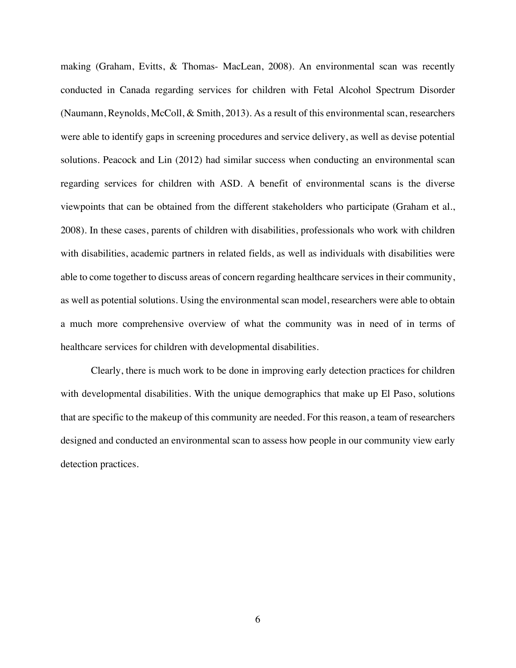making (Graham, Evitts, & Thomas- MacLean, 2008). An environmental scan was recently conducted in Canada regarding services for children with Fetal Alcohol Spectrum Disorder (Naumann, Reynolds, McColl, & Smith, 2013). As a result of this environmental scan, researchers were able to identify gaps in screening procedures and service delivery, as well as devise potential solutions. Peacock and Lin (2012) had similar success when conducting an environmental scan regarding services for children with ASD. A benefit of environmental scans is the diverse viewpoints that can be obtained from the different stakeholders who participate (Graham et al., 2008). In these cases, parents of children with disabilities, professionals who work with children with disabilities, academic partners in related fields, as well as individuals with disabilities were able to come together to discuss areas of concern regarding healthcare services in their community, as well as potential solutions. Using the environmental scan model, researchers were able to obtain a much more comprehensive overview of what the community was in need of in terms of healthcare services for children with developmental disabilities.

Clearly, there is much work to be done in improving early detection practices for children with developmental disabilities. With the unique demographics that make up El Paso, solutions that are specific to the makeup of this community are needed. For this reason, a team of researchers designed and conducted an environmental scan to assess how people in our community view early detection practices.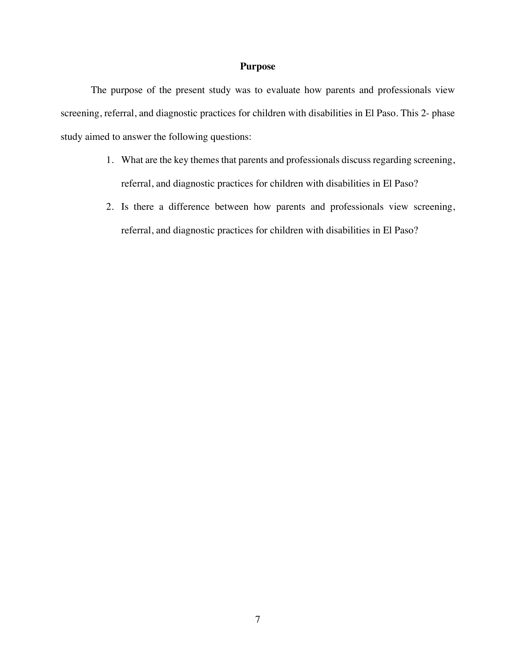#### **Purpose**

The purpose of the present study was to evaluate how parents and professionals view screening, referral, and diagnostic practices for children with disabilities in El Paso. This 2- phase study aimed to answer the following questions:

- 1. What are the key themes that parents and professionals discuss regarding screening, referral, and diagnostic practices for children with disabilities in El Paso?
- 2. Is there a difference between how parents and professionals view screening, referral, and diagnostic practices for children with disabilities in El Paso?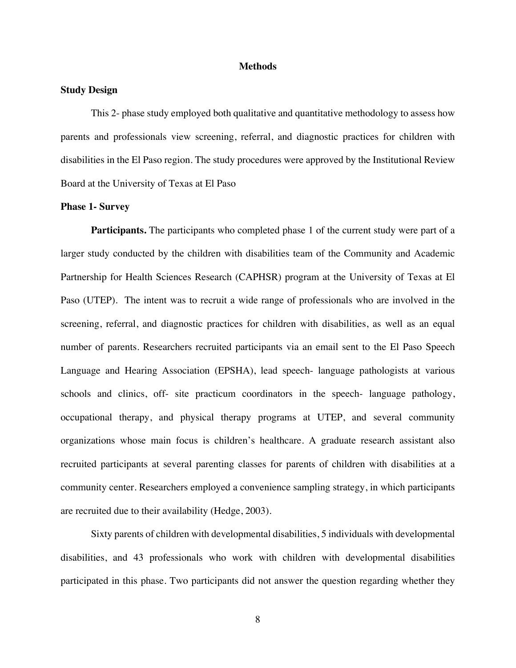#### **Methods**

#### **Study Design**

This 2- phase study employed both qualitative and quantitative methodology to assess how parents and professionals view screening, referral, and diagnostic practices for children with disabilities in the El Paso region. The study procedures were approved by the Institutional Review Board at the University of Texas at El Paso

#### **Phase 1- Survey**

**Participants.** The participants who completed phase 1 of the current study were part of a larger study conducted by the children with disabilities team of the Community and Academic Partnership for Health Sciences Research (CAPHSR) program at the University of Texas at El Paso (UTEP). The intent was to recruit a wide range of professionals who are involved in the screening, referral, and diagnostic practices for children with disabilities, as well as an equal number of parents. Researchers recruited participants via an email sent to the El Paso Speech Language and Hearing Association (EPSHA), lead speech- language pathologists at various schools and clinics, off- site practicum coordinators in the speech- language pathology, occupational therapy, and physical therapy programs at UTEP, and several community organizations whose main focus is children's healthcare. A graduate research assistant also recruited participants at several parenting classes for parents of children with disabilities at a community center. Researchers employed a convenience sampling strategy, in which participants are recruited due to their availability (Hedge, 2003).

Sixty parents of children with developmental disabilities, 5 individuals with developmental disabilities, and 43 professionals who work with children with developmental disabilities participated in this phase. Two participants did not answer the question regarding whether they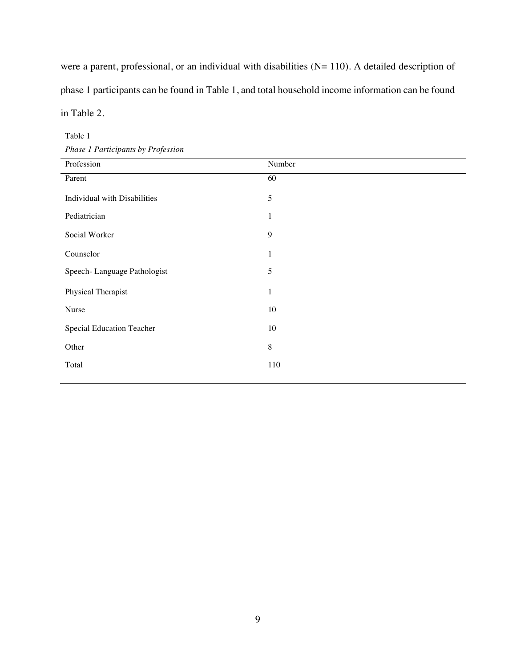were a parent, professional, or an individual with disabilities (N= 110). A detailed description of phase 1 participants can be found in Table 1, and total household income information can be found in Table 2.

| Phase 1 Participants by Profession       |                            |  |  |
|------------------------------------------|----------------------------|--|--|
| Profession                               | Number                     |  |  |
| Parent                                   | 60                         |  |  |
| Individual with Disabilities             | 5                          |  |  |
| Pediatrician                             | $\mathbf{1}$               |  |  |
| Social Worker                            | 9                          |  |  |
| Counselor<br>Speech-Language Pathologist | $\mathbf{1}$<br>$\sqrt{5}$ |  |  |
| Physical Therapist                       | $\mathbf{1}$               |  |  |
| Nurse                                    | 10                         |  |  |
| Special Education Teacher                | 10                         |  |  |
| Other                                    | $\,8\,$                    |  |  |
| Total                                    | 110                        |  |  |
|                                          |                            |  |  |

Table 1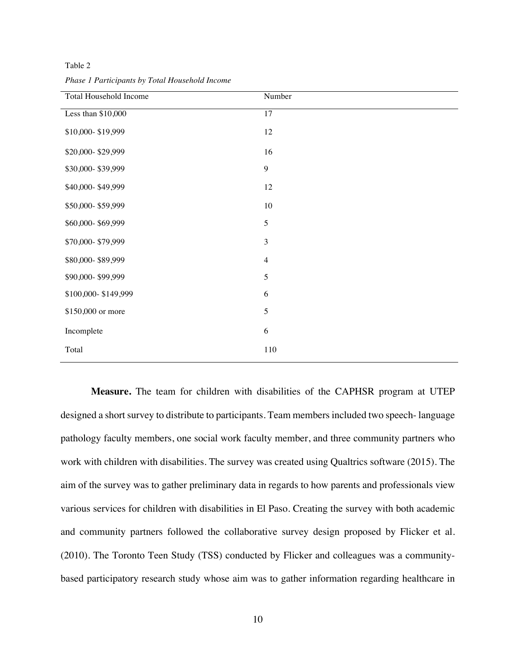Table 2

| Total Household Income | Number         |
|------------------------|----------------|
| Less than \$10,000     | 17             |
| \$10,000-\$19,999      | 12             |
| \$20,000-\$29,999      | 16             |
| \$30,000-\$39,999      | $\mathbf{9}$   |
| \$40,000-\$49,999      | 12             |
| \$50,000-\$59,999      | $10\,$         |
| \$60,000-\$69,999      | $\sqrt{5}$     |
| \$70,000-\$79,999      | $\mathfrak{Z}$ |
| \$80,000-\$89,999      | $\overline{4}$ |
| \$90,000-\$99,999      | $\sqrt{5}$     |
| \$100,000-\$149,999    | $\sqrt{6}$     |
| \$150,000 or more      | $\sqrt{5}$     |
| Incomplete             | $\sqrt{6}$     |
| Total                  | 110            |

*Phase 1 Participants by Total Household Income* 

**Measure.** The team for children with disabilities of the CAPHSR program at UTEP designed a short survey to distribute to participants. Team members included two speech- language pathology faculty members, one social work faculty member, and three community partners who work with children with disabilities. The survey was created using Qualtrics software (2015). The aim of the survey was to gather preliminary data in regards to how parents and professionals view various services for children with disabilities in El Paso. Creating the survey with both academic and community partners followed the collaborative survey design proposed by Flicker et al. (2010). The Toronto Teen Study (TSS) conducted by Flicker and colleagues was a communitybased participatory research study whose aim was to gather information regarding healthcare in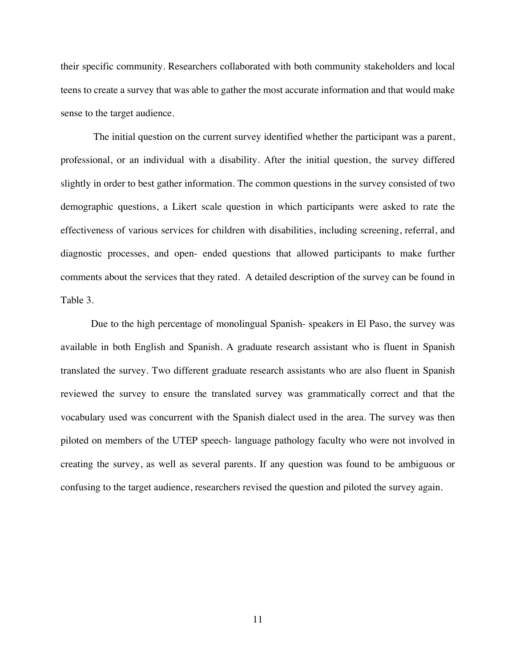their specific community. Researchers collaborated with both community stakeholders and local teens to create a survey that was able to gather the most accurate information and that would make sense to the target audience.

The initial question on the current survey identified whether the participant was a parent, professional, or an individual with a disability. After the initial question, the survey differed slightly in order to best gather information. The common questions in the survey consisted of two demographic questions, a Likert scale question in which participants were asked to rate the effectiveness of various services for children with disabilities, including screening, referral, and diagnostic processes, and open- ended questions that allowed participants to make further comments about the services that they rated. A detailed description of the survey can be found in Table 3.

Due to the high percentage of monolingual Spanish- speakers in El Paso, the survey was available in both English and Spanish. A graduate research assistant who is fluent in Spanish translated the survey. Two different graduate research assistants who are also fluent in Spanish reviewed the survey to ensure the translated survey was grammatically correct and that the vocabulary used was concurrent with the Spanish dialect used in the area. The survey was then piloted on members of the UTEP speech- language pathology faculty who were not involved in creating the survey, as well as several parents. If any question was found to be ambiguous or confusing to the target audience, researchers revised the question and piloted the survey again.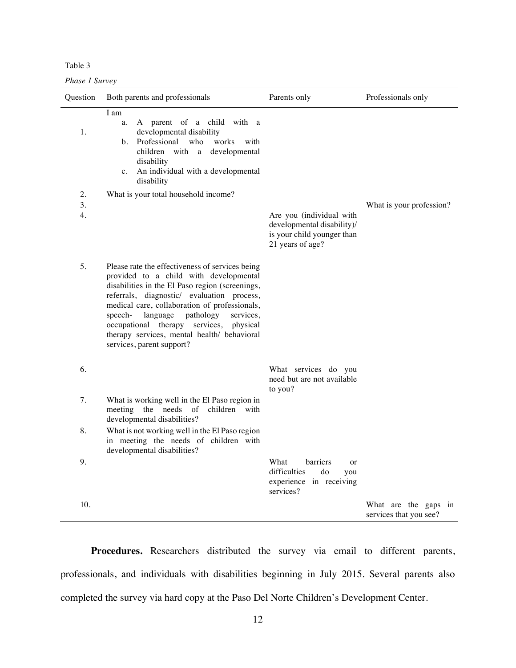Table 3

*Phase 1 Survey* 

| Question       | Both parents and professionals                                                                                                                                                                                                                                                                                                                                                                                      | Parents only                                                                                             | Professionals only                             |
|----------------|---------------------------------------------------------------------------------------------------------------------------------------------------------------------------------------------------------------------------------------------------------------------------------------------------------------------------------------------------------------------------------------------------------------------|----------------------------------------------------------------------------------------------------------|------------------------------------------------|
| 1.             | I am<br>A parent of a child with a<br>a.<br>developmental disability<br>Professional<br>works<br>who<br>with<br>b.<br>children with a<br>developmental<br>disability<br>c. An individual with a developmental<br>disability                                                                                                                                                                                         |                                                                                                          |                                                |
| 2.<br>3.<br>4. | What is your total household income?                                                                                                                                                                                                                                                                                                                                                                                | Are you (individual with<br>developmental disability)/<br>is your child younger than<br>21 years of age? | What is your profession?                       |
| 5.             | Please rate the effectiveness of services being<br>provided to a child with developmental<br>disabilities in the El Paso region (screenings,<br>referrals, diagnostic/ evaluation process,<br>medical care, collaboration of professionals,<br>language<br>pathology<br>services,<br>speech-<br>occupational therapy services, physical<br>therapy services, mental health/ behavioral<br>services, parent support? |                                                                                                          |                                                |
| 6.             |                                                                                                                                                                                                                                                                                                                                                                                                                     | What services do you<br>need but are not available<br>to you?                                            |                                                |
| 7.             | What is working well in the El Paso region in<br>meeting the needs of<br>children with<br>developmental disabilities?                                                                                                                                                                                                                                                                                               |                                                                                                          |                                                |
| 8.             | What is not working well in the El Paso region<br>in meeting the needs of children with<br>developmental disabilities?                                                                                                                                                                                                                                                                                              |                                                                                                          |                                                |
| 9.             |                                                                                                                                                                                                                                                                                                                                                                                                                     | What<br>barriers<br>or<br>difficulties<br>do<br>you<br>experience in receiving<br>services?              |                                                |
| 10.            |                                                                                                                                                                                                                                                                                                                                                                                                                     |                                                                                                          | What are the gaps in<br>services that you see? |

**Procedures.** Researchers distributed the survey via email to different parents, professionals, and individuals with disabilities beginning in July 2015. Several parents also completed the survey via hard copy at the Paso Del Norte Children's Development Center.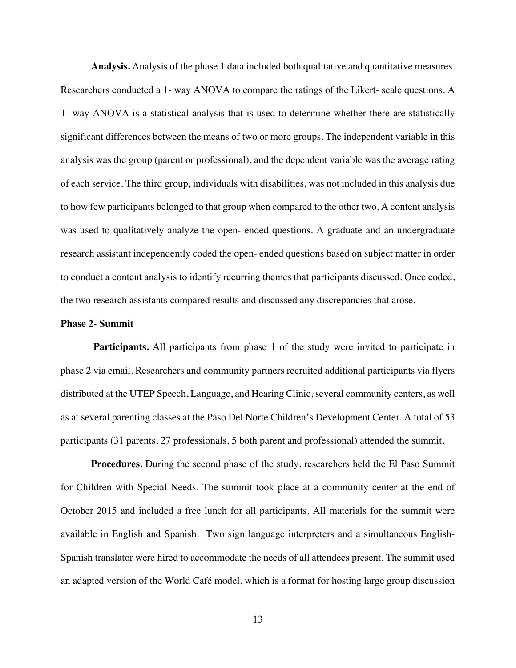**Analysis.** Analysis of the phase 1 data included both qualitative and quantitative measures. Researchers conducted a 1- way ANOVA to compare the ratings of the Likert- scale questions. A 1- way ANOVA is a statistical analysis that is used to determine whether there are statistically significant differences between the means of two or more groups. The independent variable in this analysis was the group (parent or professional), and the dependent variable was the average rating of each service. The third group, individuals with disabilities, was not included in this analysis due to how few participants belonged to that group when compared to the other two. A content analysis was used to qualitatively analyze the open- ended questions. A graduate and an undergraduate research assistant independently coded the open- ended questions based on subject matter in order to conduct a content analysis to identify recurring themes that participants discussed. Once coded, the two research assistants compared results and discussed any discrepancies that arose.

#### **Phase 2- Summit**

**Participants.** All participants from phase 1 of the study were invited to participate in phase 2 via email. Researchers and community partners recruited additional participants via flyers distributed at the UTEP Speech, Language, and Hearing Clinic, several community centers, as well as at several parenting classes at the Paso Del Norte Children's Development Center. A total of 53 participants (31 parents, 27 professionals, 5 both parent and professional) attended the summit.

**Procedures.** During the second phase of the study, researchers held the El Paso Summit for Children with Special Needs. The summit took place at a community center at the end of October 2015 and included a free lunch for all participants. All materials for the summit were available in English and Spanish. Two sign language interpreters and a simultaneous English-Spanish translator were hired to accommodate the needs of all attendees present. The summit used an adapted version of the World Café model, which is a format for hosting large group discussion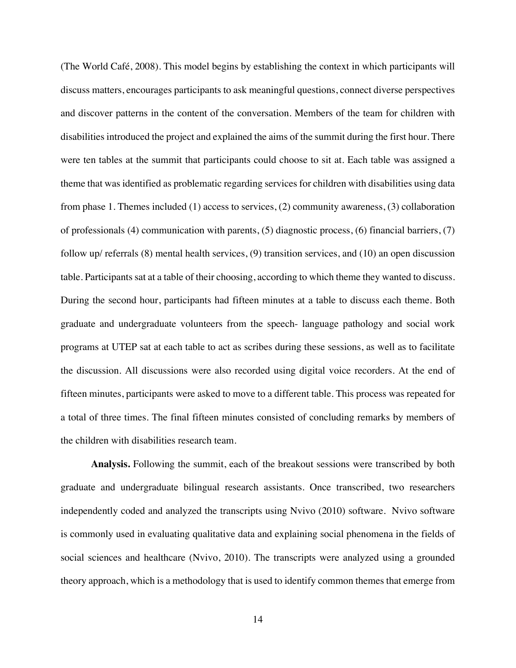(The World Café, 2008). This model begins by establishing the context in which participants will discuss matters, encourages participants to ask meaningful questions, connect diverse perspectives and discover patterns in the content of the conversation. Members of the team for children with disabilities introduced the project and explained the aims of the summit during the first hour. There were ten tables at the summit that participants could choose to sit at. Each table was assigned a theme that was identified as problematic regarding services for children with disabilities using data from phase 1. Themes included (1) access to services, (2) community awareness, (3) collaboration of professionals (4) communication with parents, (5) diagnostic process, (6) financial barriers, (7) follow up/ referrals (8) mental health services, (9) transition services, and (10) an open discussion table. Participants sat at a table of their choosing, according to which theme they wanted to discuss. During the second hour, participants had fifteen minutes at a table to discuss each theme. Both graduate and undergraduate volunteers from the speech- language pathology and social work programs at UTEP sat at each table to act as scribes during these sessions, as well as to facilitate the discussion. All discussions were also recorded using digital voice recorders. At the end of fifteen minutes, participants were asked to move to a different table. This process was repeated for a total of three times. The final fifteen minutes consisted of concluding remarks by members of the children with disabilities research team.

**Analysis.** Following the summit, each of the breakout sessions were transcribed by both graduate and undergraduate bilingual research assistants. Once transcribed, two researchers independently coded and analyzed the transcripts using Nvivo (2010) software. Nvivo software is commonly used in evaluating qualitative data and explaining social phenomena in the fields of social sciences and healthcare (Nvivo, 2010). The transcripts were analyzed using a grounded theory approach, which is a methodology that is used to identify common themes that emerge from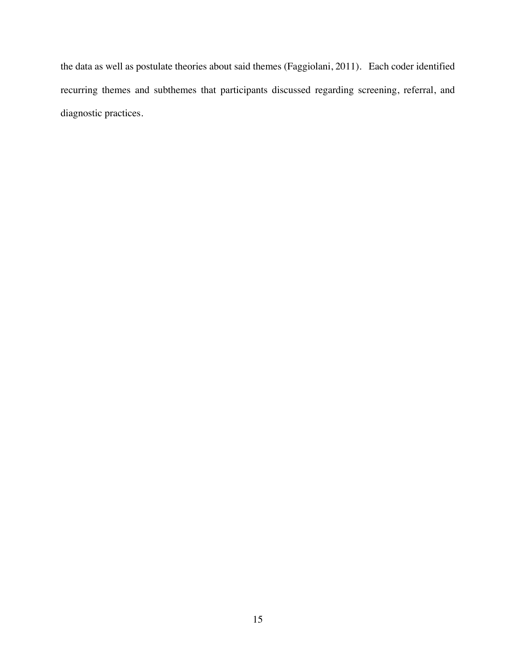the data as well as postulate theories about said themes (Faggiolani, 2011). Each coder identified recurring themes and subthemes that participants discussed regarding screening, referral, and diagnostic practices.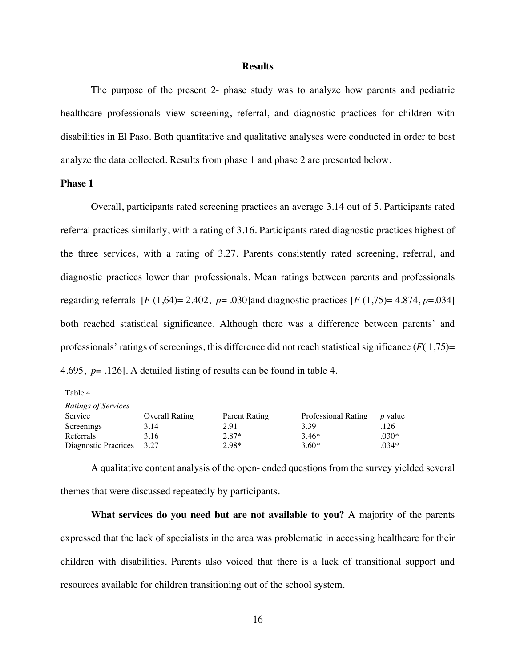#### **Results**

The purpose of the present 2- phase study was to analyze how parents and pediatric healthcare professionals view screening, referral, and diagnostic practices for children with disabilities in El Paso. Both quantitative and qualitative analyses were conducted in order to best analyze the data collected. Results from phase 1 and phase 2 are presented below.

#### **Phase 1**

Overall, participants rated screening practices an average 3.14 out of 5. Participants rated referral practices similarly, with a rating of 3.16. Participants rated diagnostic practices highest of the three services, with a rating of 3.27. Parents consistently rated screening, referral, and diagnostic practices lower than professionals. Mean ratings between parents and professionals regarding referrals [*F* (1,64)= 2.402, *p*= .030]and diagnostic practices [*F* (1,75)= 4.874, *p*=.034] both reached statistical significance. Although there was a difference between parents' and professionals' ratings of screenings, this difference did not reach statistical significance (*F*( 1,75)= 4.695, *p*= .126]. A detailed listing of results can be found in table 4.

Table 4

*Ratings of Services*

| Service              | Overall Rating | Parent Rating | Professional Rating | <i>p</i> value |
|----------------------|----------------|---------------|---------------------|----------------|
| Screenings           | 3.14           | 2.91          | 3.39                | .126           |
| Referrals            | 3.16           | $2.87*$       | $3.46*$             | .030*          |
| Diagnostic Practices | 3.27           | 2.98*         | $3.60*$             | .034*          |

A qualitative content analysis of the open- ended questions from the survey yielded several themes that were discussed repeatedly by participants.

**What services do you need but are not available to you?** A majority of the parents expressed that the lack of specialists in the area was problematic in accessing healthcare for their children with disabilities. Parents also voiced that there is a lack of transitional support and resources available for children transitioning out of the school system.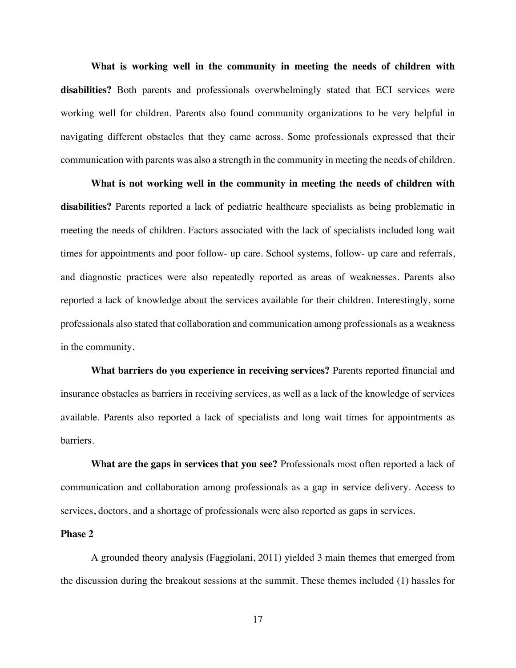**What is working well in the community in meeting the needs of children with disabilities?** Both parents and professionals overwhelmingly stated that ECI services were working well for children. Parents also found community organizations to be very helpful in navigating different obstacles that they came across. Some professionals expressed that their communication with parents was also a strength in the community in meeting the needs of children.

**What is not working well in the community in meeting the needs of children with disabilities?** Parents reported a lack of pediatric healthcare specialists as being problematic in meeting the needs of children. Factors associated with the lack of specialists included long wait times for appointments and poor follow- up care. School systems, follow- up care and referrals, and diagnostic practices were also repeatedly reported as areas of weaknesses. Parents also reported a lack of knowledge about the services available for their children. Interestingly, some professionals also stated that collaboration and communication among professionals as a weakness in the community.

**What barriers do you experience in receiving services?** Parents reported financial and insurance obstacles as barriers in receiving services, as well as a lack of the knowledge of services available. Parents also reported a lack of specialists and long wait times for appointments as barriers.

**What are the gaps in services that you see?** Professionals most often reported a lack of communication and collaboration among professionals as a gap in service delivery. Access to services, doctors, and a shortage of professionals were also reported as gaps in services.

#### **Phase 2**

A grounded theory analysis (Faggiolani, 2011) yielded 3 main themes that emerged from the discussion during the breakout sessions at the summit. These themes included (1) hassles for

17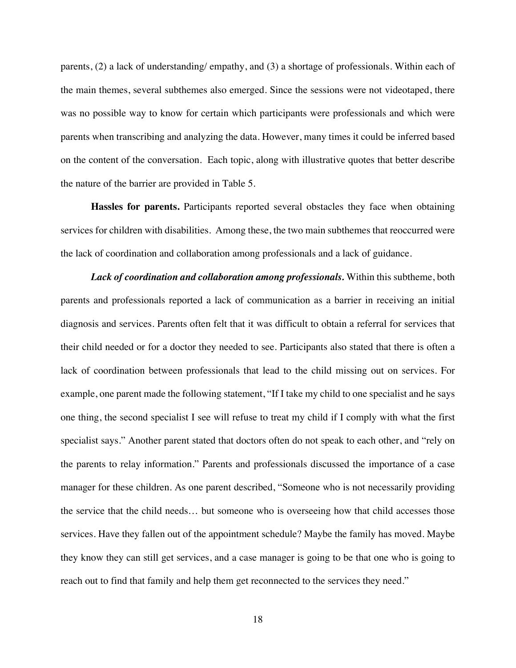parents, (2) a lack of understanding/ empathy, and (3) a shortage of professionals. Within each of the main themes, several subthemes also emerged. Since the sessions were not videotaped, there was no possible way to know for certain which participants were professionals and which were parents when transcribing and analyzing the data. However, many times it could be inferred based on the content of the conversation. Each topic, along with illustrative quotes that better describe the nature of the barrier are provided in Table 5.

**Hassles for parents.** Participants reported several obstacles they face when obtaining services for children with disabilities. Among these, the two main subthemes that reoccurred were the lack of coordination and collaboration among professionals and a lack of guidance.

*Lack of coordination and collaboration among professionals.* Within this subtheme, both parents and professionals reported a lack of communication as a barrier in receiving an initial diagnosis and services. Parents often felt that it was difficult to obtain a referral for services that their child needed or for a doctor they needed to see. Participants also stated that there is often a lack of coordination between professionals that lead to the child missing out on services. For example, one parent made the following statement, "If I take my child to one specialist and he says one thing, the second specialist I see will refuse to treat my child if I comply with what the first specialist says." Another parent stated that doctors often do not speak to each other, and "rely on the parents to relay information." Parents and professionals discussed the importance of a case manager for these children. As one parent described, "Someone who is not necessarily providing the service that the child needs… but someone who is overseeing how that child accesses those services. Have they fallen out of the appointment schedule? Maybe the family has moved. Maybe they know they can still get services, and a case manager is going to be that one who is going to reach out to find that family and help them get reconnected to the services they need."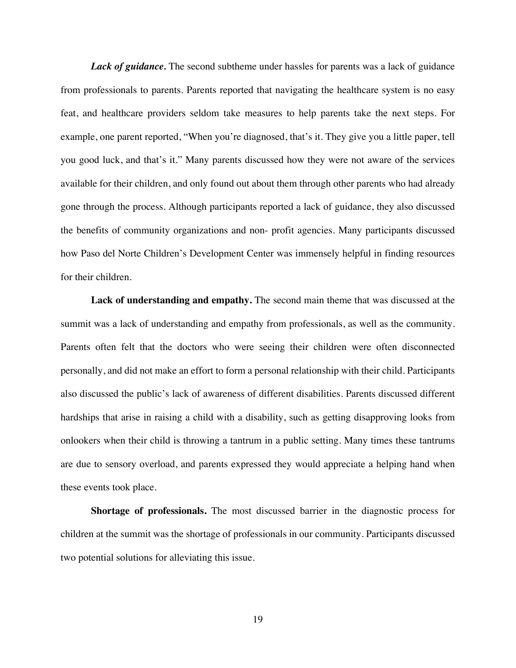*Lack of guidance*. The second subtheme under hassles for parents was a lack of guidance from professionals to parents. Parents reported that navigating the healthcare system is no easy feat, and healthcare providers seldom take measures to help parents take the next steps. For example, one parent reported, "When you're diagnosed, that's it. They give you a little paper, tell you good luck, and that's it." Many parents discussed how they were not aware of the services available for their children, and only found out about them through other parents who had already gone through the process. Although participants reported a lack of guidance, they also discussed the benefits of community organizations and non- profit agencies. Many participants discussed how Paso del Norte Children's Development Center was immensely helpful in finding resources for their children.

**Lack of understanding and empathy.** The second main theme that was discussed at the summit was a lack of understanding and empathy from professionals, as well as the community. Parents often felt that the doctors who were seeing their children were often disconnected personally, and did not make an effort to form a personal relationship with their child. Participants also discussed the public's lack of awareness of different disabilities. Parents discussed different hardships that arise in raising a child with a disability, such as getting disapproving looks from onlookers when their child is throwing a tantrum in a public setting. Many times these tantrums are due to sensory overload, and parents expressed they would appreciate a helping hand when these events took place.

**Shortage of professionals.** The most discussed barrier in the diagnostic process for children at the summit was the shortage of professionals in our community. Participants discussed two potential solutions for alleviating this issue.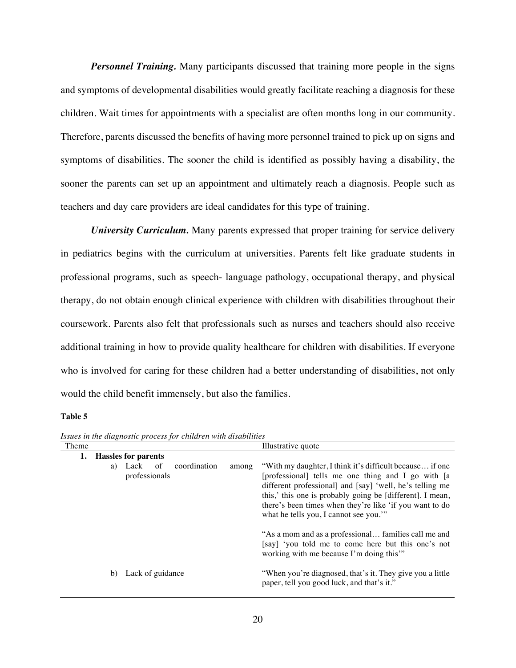*Personnel Training.* Many participants discussed that training more people in the signs and symptoms of developmental disabilities would greatly facilitate reaching a diagnosis for these children. Wait times for appointments with a specialist are often months long in our community. Therefore, parents discussed the benefits of having more personnel trained to pick up on signs and symptoms of disabilities. The sooner the child is identified as possibly having a disability, the sooner the parents can set up an appointment and ultimately reach a diagnosis. People such as teachers and day care providers are ideal candidates for this type of training.

*University Curriculum.* Many parents expressed that proper training for service delivery in pediatrics begins with the curriculum at universities. Parents felt like graduate students in professional programs, such as speech- language pathology, occupational therapy, and physical therapy, do not obtain enough clinical experience with children with disabilities throughout their coursework. Parents also felt that professionals such as nurses and teachers should also receive additional training in how to provide quality healthcare for children with disabilities. If everyone who is involved for caring for these children had a better understanding of disabilities, not only would the child benefit immensely, but also the families.

#### **Table 5**

| Theme |    |                            |    |              |       | Illustrative quote                                                                                                                                                                                                                                                                                                                          |
|-------|----|----------------------------|----|--------------|-------|---------------------------------------------------------------------------------------------------------------------------------------------------------------------------------------------------------------------------------------------------------------------------------------------------------------------------------------------|
| 1.    |    | <b>Hassles for parents</b> |    |              |       |                                                                                                                                                                                                                                                                                                                                             |
|       | a) | Lack<br>professionals      | of | coordination | among | "With my daughter, I think it's difficult because if one<br>[professional] tells me one thing and I go with [a<br>different professional] and [say] 'well, he's telling me<br>this,' this one is probably going be [different]. I mean,<br>there's been times when they're like 'if you want to do<br>what he tells you, I cannot see you." |
|       |    |                            |    |              |       | "As a mom and as a professional families call me and<br>[say] 'you told me to come here but this one's not<br>working with me because I'm doing this"                                                                                                                                                                                       |
|       | b) | Lack of guidance           |    |              |       | "When you're diagnosed, that's it. They give you a little<br>paper, tell you good luck, and that's it."                                                                                                                                                                                                                                     |

*Issues in the diagnostic process for children with disabilities*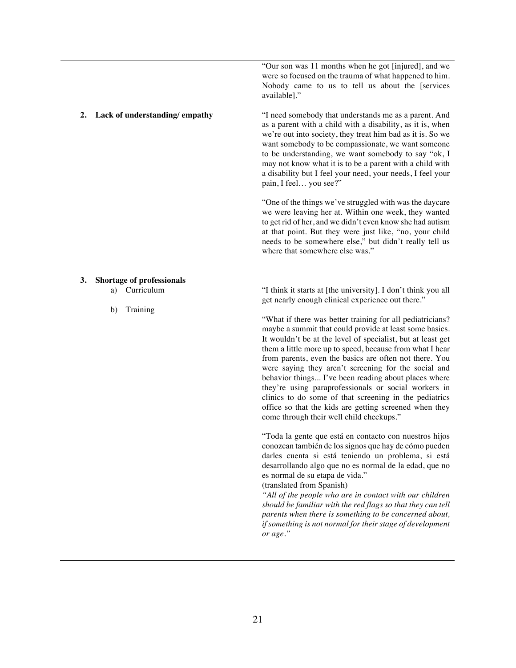"Our son was 11 months when he got [injured], and we were so focused on the trauma of what happened to him. Nobody came to us to tell us about the [services available]."

**2. Lack of understanding/ empathy** "I need somebody that understands me as a parent. And as a parent with a child with a disability, as it is, when we're out into society, they treat him bad as it is. So we want somebody to be compassionate, we want someone to be understanding, we want somebody to say "ok, I may not know what it is to be a parent with a child with a disability but I feel your need, your needs, I feel your pain, I feel… you see?"

> "One of the things we've struggled with was the daycare we were leaving her at. Within one week, they wanted to get rid of her, and we didn't even know she had autism at that point. But they were just like, "no, your child needs to be somewhere else," but didn't really tell us where that somewhere else was."

#### **3. Shortage of professionals**

- a) Curriculum
- b) Training

"I think it starts at [the university]. I don't think you all get nearly enough clinical experience out there."

"What if there was better training for all pediatricians? maybe a summit that could provide at least some basics. It wouldn't be at the level of specialist, but at least get them a little more up to speed, because from what I hear from parents, even the basics are often not there. You were saying they aren't screening for the social and behavior things... I've been reading about places where they're using paraprofessionals or social workers in clinics to do some of that screening in the pediatrics office so that the kids are getting screened when they come through their well child checkups."

"Toda la gente que está en contacto con nuestros hijos conozcan también de los signos que hay de cómo pueden darles cuenta si está teniendo un problema, si está desarrollando algo que no es normal de la edad, que no es normal de su etapa de vida."

(translated from Spanish)

*"All of the people who are in contact with our children should be familiar with the red flags so that they can tell parents when there is something to be concerned about, if something is not normal for their stage of development or age."*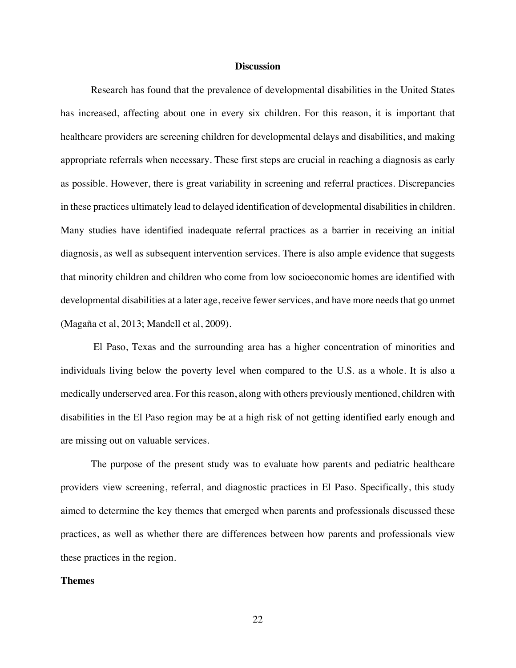#### **Discussion**

Research has found that the prevalence of developmental disabilities in the United States has increased, affecting about one in every six children. For this reason, it is important that healthcare providers are screening children for developmental delays and disabilities, and making appropriate referrals when necessary. These first steps are crucial in reaching a diagnosis as early as possible. However, there is great variability in screening and referral practices. Discrepancies in these practices ultimately lead to delayed identification of developmental disabilities in children. Many studies have identified inadequate referral practices as a barrier in receiving an initial diagnosis, as well as subsequent intervention services. There is also ample evidence that suggests that minority children and children who come from low socioeconomic homes are identified with developmental disabilities at a later age, receive fewer services, and have more needs that go unmet (Magaña et al, 2013; Mandell et al, 2009).

El Paso, Texas and the surrounding area has a higher concentration of minorities and individuals living below the poverty level when compared to the U.S. as a whole. It is also a medically underserved area. For this reason, along with others previously mentioned, children with disabilities in the El Paso region may be at a high risk of not getting identified early enough and are missing out on valuable services.

The purpose of the present study was to evaluate how parents and pediatric healthcare providers view screening, referral, and diagnostic practices in El Paso. Specifically, this study aimed to determine the key themes that emerged when parents and professionals discussed these practices, as well as whether there are differences between how parents and professionals view these practices in the region.

#### **Themes**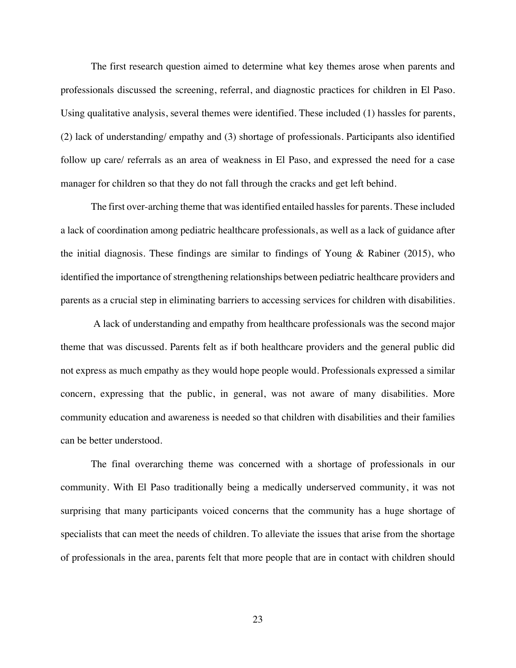The first research question aimed to determine what key themes arose when parents and professionals discussed the screening, referral, and diagnostic practices for children in El Paso. Using qualitative analysis, several themes were identified. These included (1) hassles for parents, (2) lack of understanding/ empathy and (3) shortage of professionals. Participants also identified follow up care/ referrals as an area of weakness in El Paso, and expressed the need for a case manager for children so that they do not fall through the cracks and get left behind.

The first over-arching theme that was identified entailed hassles for parents. These included a lack of coordination among pediatric healthcare professionals, as well as a lack of guidance after the initial diagnosis. These findings are similar to findings of Young  $\&$  Rabiner (2015), who identified the importance of strengthening relationships between pediatric healthcare providers and parents as a crucial step in eliminating barriers to accessing services for children with disabilities.

A lack of understanding and empathy from healthcare professionals was the second major theme that was discussed. Parents felt as if both healthcare providers and the general public did not express as much empathy as they would hope people would. Professionals expressed a similar concern, expressing that the public, in general, was not aware of many disabilities. More community education and awareness is needed so that children with disabilities and their families can be better understood.

The final overarching theme was concerned with a shortage of professionals in our community. With El Paso traditionally being a medically underserved community, it was not surprising that many participants voiced concerns that the community has a huge shortage of specialists that can meet the needs of children. To alleviate the issues that arise from the shortage of professionals in the area, parents felt that more people that are in contact with children should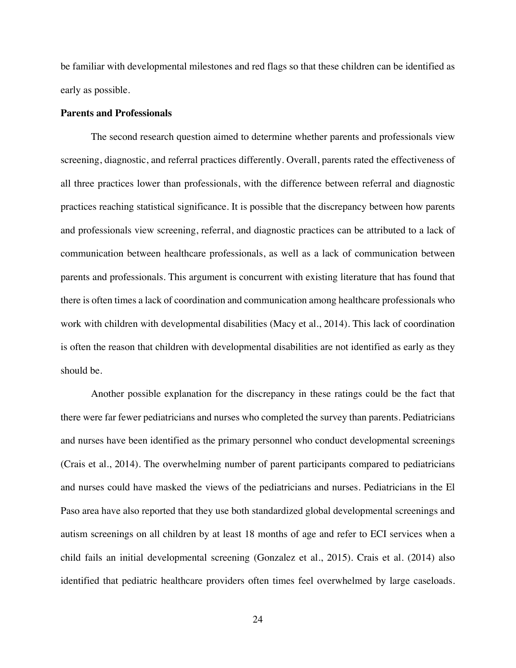be familiar with developmental milestones and red flags so that these children can be identified as early as possible.

#### **Parents and Professionals**

The second research question aimed to determine whether parents and professionals view screening, diagnostic, and referral practices differently. Overall, parents rated the effectiveness of all three practices lower than professionals, with the difference between referral and diagnostic practices reaching statistical significance. It is possible that the discrepancy between how parents and professionals view screening, referral, and diagnostic practices can be attributed to a lack of communication between healthcare professionals, as well as a lack of communication between parents and professionals. This argument is concurrent with existing literature that has found that there is often times a lack of coordination and communication among healthcare professionals who work with children with developmental disabilities (Macy et al., 2014). This lack of coordination is often the reason that children with developmental disabilities are not identified as early as they should be.

Another possible explanation for the discrepancy in these ratings could be the fact that there were far fewer pediatricians and nurses who completed the survey than parents. Pediatricians and nurses have been identified as the primary personnel who conduct developmental screenings (Crais et al., 2014). The overwhelming number of parent participants compared to pediatricians and nurses could have masked the views of the pediatricians and nurses. Pediatricians in the El Paso area have also reported that they use both standardized global developmental screenings and autism screenings on all children by at least 18 months of age and refer to ECI services when a child fails an initial developmental screening (Gonzalez et al., 2015). Crais et al. (2014) also identified that pediatric healthcare providers often times feel overwhelmed by large caseloads.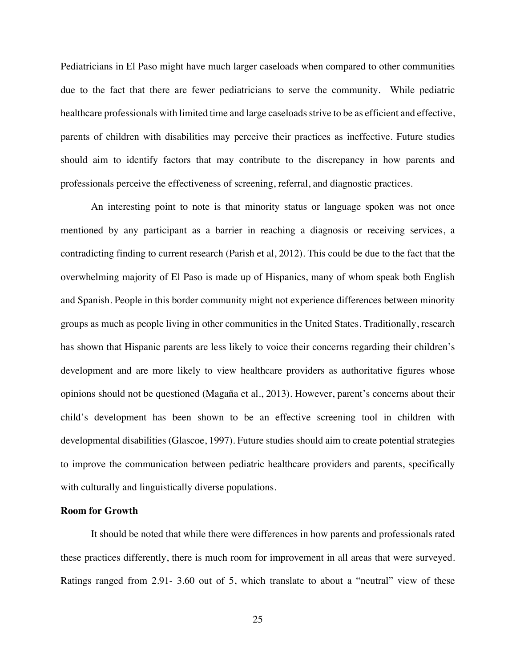Pediatricians in El Paso might have much larger caseloads when compared to other communities due to the fact that there are fewer pediatricians to serve the community. While pediatric healthcare professionals with limited time and large caseloads strive to be as efficient and effective, parents of children with disabilities may perceive their practices as ineffective. Future studies should aim to identify factors that may contribute to the discrepancy in how parents and professionals perceive the effectiveness of screening, referral, and diagnostic practices.

An interesting point to note is that minority status or language spoken was not once mentioned by any participant as a barrier in reaching a diagnosis or receiving services, a contradicting finding to current research (Parish et al, 2012). This could be due to the fact that the overwhelming majority of El Paso is made up of Hispanics, many of whom speak both English and Spanish. People in this border community might not experience differences between minority groups as much as people living in other communities in the United States. Traditionally, research has shown that Hispanic parents are less likely to voice their concerns regarding their children's development and are more likely to view healthcare providers as authoritative figures whose opinions should not be questioned (Magaña et al., 2013). However, parent's concerns about their child's development has been shown to be an effective screening tool in children with developmental disabilities (Glascoe, 1997). Future studies should aim to create potential strategies to improve the communication between pediatric healthcare providers and parents, specifically with culturally and linguistically diverse populations.

#### **Room for Growth**

It should be noted that while there were differences in how parents and professionals rated these practices differently, there is much room for improvement in all areas that were surveyed. Ratings ranged from 2.91- 3.60 out of 5, which translate to about a "neutral" view of these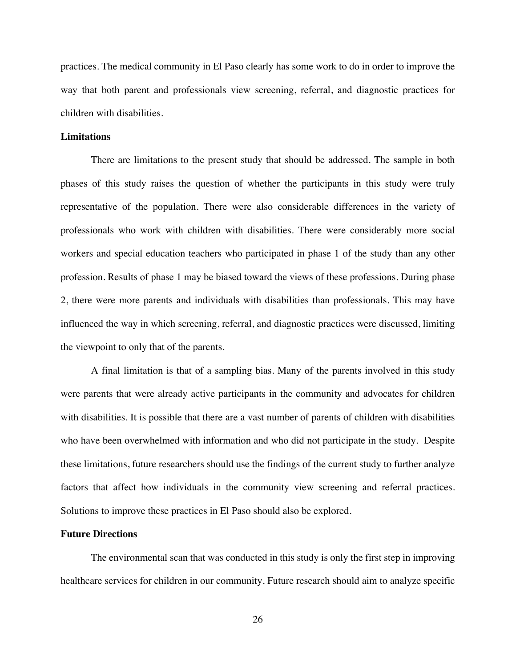practices. The medical community in El Paso clearly has some work to do in order to improve the way that both parent and professionals view screening, referral, and diagnostic practices for children with disabilities.

#### **Limitations**

There are limitations to the present study that should be addressed. The sample in both phases of this study raises the question of whether the participants in this study were truly representative of the population. There were also considerable differences in the variety of professionals who work with children with disabilities. There were considerably more social workers and special education teachers who participated in phase 1 of the study than any other profession. Results of phase 1 may be biased toward the views of these professions. During phase 2, there were more parents and individuals with disabilities than professionals. This may have influenced the way in which screening, referral, and diagnostic practices were discussed, limiting the viewpoint to only that of the parents.

A final limitation is that of a sampling bias. Many of the parents involved in this study were parents that were already active participants in the community and advocates for children with disabilities. It is possible that there are a vast number of parents of children with disabilities who have been overwhelmed with information and who did not participate in the study. Despite these limitations, future researchers should use the findings of the current study to further analyze factors that affect how individuals in the community view screening and referral practices. Solutions to improve these practices in El Paso should also be explored.

#### **Future Directions**

The environmental scan that was conducted in this study is only the first step in improving healthcare services for children in our community. Future research should aim to analyze specific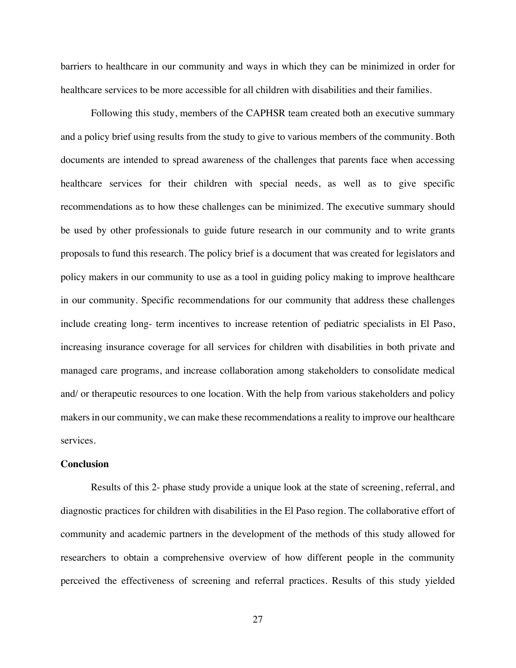barriers to healthcare in our community and ways in which they can be minimized in order for healthcare services to be more accessible for all children with disabilities and their families.

Following this study, members of the CAPHSR team created both an executive summary and a policy brief using results from the study to give to various members of the community. Both documents are intended to spread awareness of the challenges that parents face when accessing healthcare services for their children with special needs, as well as to give specific recommendations as to how these challenges can be minimized. The executive summary should be used by other professionals to guide future research in our community and to write grants proposals to fund this research. The policy brief is a document that was created for legislators and policy makers in our community to use as a tool in guiding policy making to improve healthcare in our community. Specific recommendations for our community that address these challenges include creating long- term incentives to increase retention of pediatric specialists in El Paso, increasing insurance coverage for all services for children with disabilities in both private and managed care programs, and increase collaboration among stakeholders to consolidate medical and/ or therapeutic resources to one location. With the help from various stakeholders and policy makers in our community, we can make these recommendations a reality to improve our healthcare services.

#### **Conclusion**

Results of this 2- phase study provide a unique look at the state of screening, referral, and diagnostic practices for children with disabilities in the El Paso region. The collaborative effort of community and academic partners in the development of the methods of this study allowed for researchers to obtain a comprehensive overview of how different people in the community perceived the effectiveness of screening and referral practices. Results of this study yielded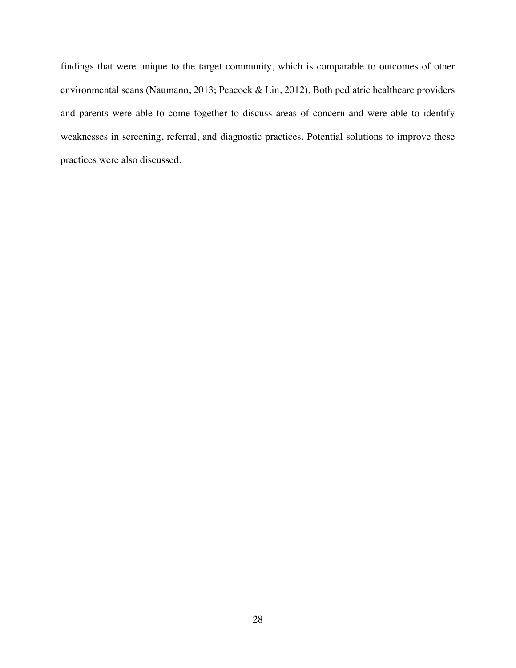findings that were unique to the target community, which is comparable to outcomes of other environmental scans (Naumann, 2013; Peacock & Lin, 2012). Both pediatric healthcare providers and parents were able to come together to discuss areas of concern and were able to identify weaknesses in screening, referral, and diagnostic practices. Potential solutions to improve these practices were also discussed.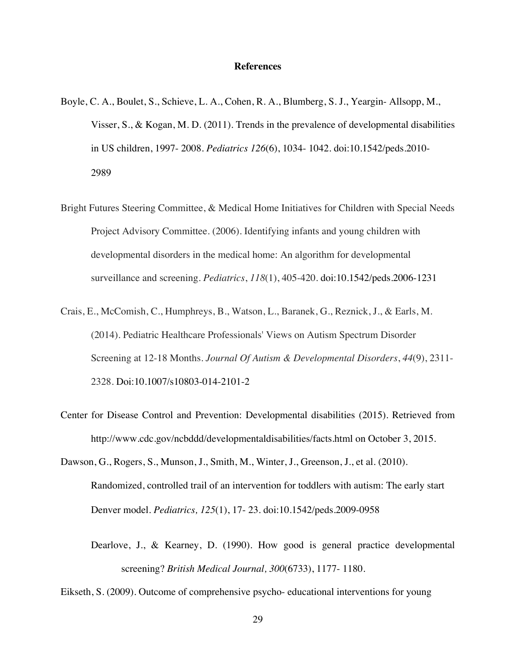#### **References**

- Boyle, C. A., Boulet, S., Schieve, L. A., Cohen, R. A., Blumberg, S. J., Yeargin- Allsopp, M., Visser, S., & Kogan, M. D. (2011). Trends in the prevalence of developmental disabilities in US children, 1997- 2008. *Pediatrics 126*(6), 1034- 1042. doi:10.1542/peds.2010- 2989
- Bright Futures Steering Committee, & Medical Home Initiatives for Children with Special Needs Project Advisory Committee. (2006). Identifying infants and young children with developmental disorders in the medical home: An algorithm for developmental surveillance and screening. *Pediatrics*, *118*(1), 405-420. doi:10.1542/peds.2006-1231
- Crais, E., McComish, C., Humphreys, B., Watson, L., Baranek, G., Reznick, J., & Earls, M. (2014). Pediatric Healthcare Professionals' Views on Autism Spectrum Disorder Screening at 12-18 Months. *Journal Of Autism & Developmental Disorders*, *44*(9), 2311- 2328. Doi:10.1007/s10803-014-2101-2
- Center for Disease Control and Prevention: Developmental disabilities (2015). Retrieved from http://www.cdc.gov/ncbddd/developmentaldisabilities/facts.html on October 3, 2015.
- Dawson, G., Rogers, S., Munson, J., Smith, M., Winter, J., Greenson, J., et al. (2010). Randomized, controlled trail of an intervention for toddlers with autism: The early start Denver model. *Pediatrics, 125*(1), 17- 23. doi:10.1542/peds.2009-0958
	- Dearlove, J., & Kearney, D. (1990). How good is general practice developmental screening? *British Medical Journal, 300*(6733), 1177- 1180.

Eikseth, S. (2009). Outcome of comprehensive psycho- educational interventions for young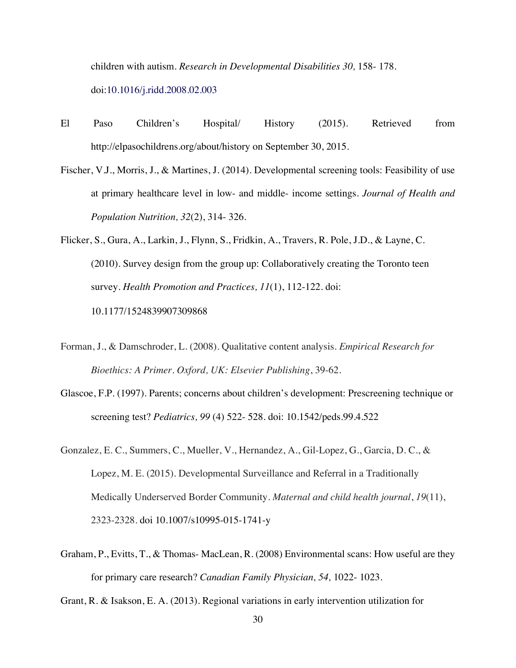children with autism. *Research in Developmental Disabilities 30,* 158- 178. doi:10.1016/j.ridd.2008.02.003

- El Paso Children's Hospital/ History (2015). Retrieved from http://elpasochildrens.org/about/history on September 30, 2015.
- Fischer, V.J., Morris, J., & Martines, J. (2014). Developmental screening tools: Feasibility of use at primary healthcare level in low- and middle- income settings. *Journal of Health and Population Nutrition, 32*(2), 314- 326.
- Flicker, S., Gura, A., Larkin, J., Flynn, S., Fridkin, A., Travers, R. Pole, J.D., & Layne, C. (2010). Survey design from the group up: Collaboratively creating the Toronto teen survey. *Health Promotion and Practices, 11*(1), 112-122. doi: 10.1177/1524839907309868
- Forman, J., & Damschroder, L. (2008). Qualitative content analysis. *Empirical Research for Bioethics: A Primer. Oxford, UK: Elsevier Publishing*, 39-62.
- Glascoe, F.P. (1997). Parents; concerns about children's development: Prescreening technique or screening test? *Pediatrics, 99* (4) 522- 528. doi: 10.1542/peds.99.4.522
- Gonzalez, E. C., Summers, C., Mueller, V., Hernandez, A., Gil-Lopez, G., Garcia, D. C., & Lopez, M. E. (2015). Developmental Surveillance and Referral in a Traditionally Medically Underserved Border Community. *Maternal and child health journal*, *19*(11), 2323-2328. doi 10.1007/s10995-015-1741-y
- Graham, P., Evitts, T., & Thomas- MacLean, R. (2008) Environmental scans: How useful are they for primary care research? *Canadian Family Physician, 54,* 1022- 1023.

Grant, R. & Isakson, E. A. (2013). Regional variations in early intervention utilization for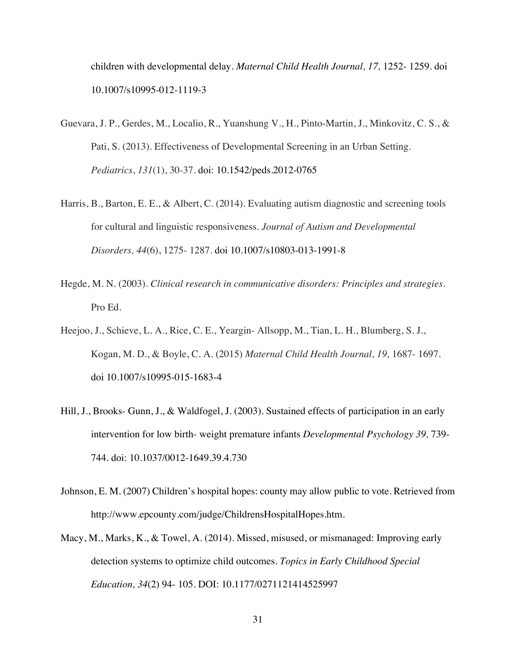children with developmental delay. *Maternal Child Health Journal, 17,* 1252- 1259. doi 10.1007/s10995-012-1119-3

- Guevara, J. P., Gerdes, M., Localio, R., Yuanshung V., H., Pinto-Martin, J., Minkovitz, C. S., & Pati, S. (2013). Effectiveness of Developmental Screening in an Urban Setting. *Pediatrics*, *131*(1), 30-37. doi: 10.1542/peds.2012-0765
- Harris, B., Barton, E. E., & Albert, C. (2014). Evaluating autism diagnostic and screening tools for cultural and linguistic responsiveness. *Journal of Autism and Developmental Disorders, 44*(6), 1275- 1287. doi 10.1007/s10803-013-1991-8
- Hegde, M. N. (2003). *Clinical research in communicative disorders: Principles and strategies*. Pro Ed.
- Heejoo, J., Schieve, L. A., Rice, C. E., Yeargin- Allsopp, M., Tian, L. H., Blumberg, S. J., Kogan, M. D., & Boyle, C. A. (2015) *Maternal Child Health Journal, 19,* 1687- 1697. doi 10.1007/s10995-015-1683-4
- Hill, J., Brooks- Gunn, J., & Waldfogel, J. (2003). Sustained effects of participation in an early intervention for low birth- weight premature infants *Developmental Psychology 39,* 739- 744. doi: 10.1037/0012-1649.39.4.730
- Johnson, E. M. (2007) Children's hospital hopes: county may allow public to vote. Retrieved from http://www.epcounty.com/judge/ChildrensHospitalHopes.htm.
- Macy, M., Marks, K., & Towel, A. (2014). Missed, misused, or mismanaged: Improving early detection systems to optimize child outcomes. *Topics in Early Childhood Special Education, 34*(2) 94- 105. DOI: 10.1177/0271121414525997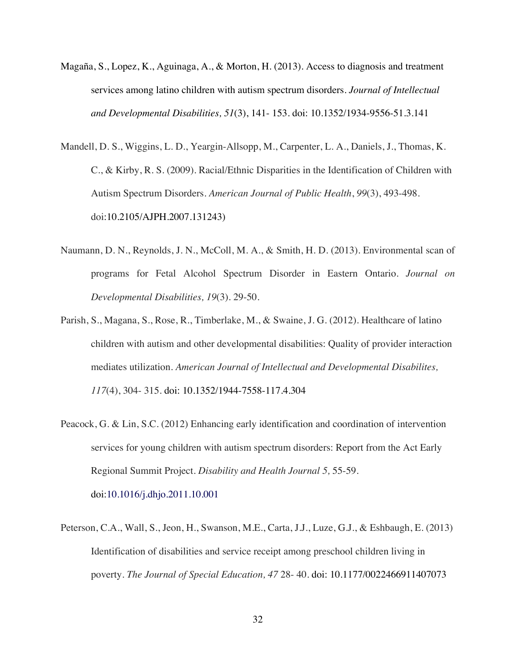- Magaña, S., Lopez, K., Aguinaga, A., & Morton, H. (2013). Access to diagnosis and treatment services among latino children with autism spectrum disorders. *Journal of Intellectual and Developmental Disabilities, 51*(3), 141- 153. doi: 10.1352/1934-9556-51.3.141
- Mandell, D. S., Wiggins, L. D., Yeargin-Allsopp, M., Carpenter, L. A., Daniels, J., Thomas, K. C., & Kirby, R. S. (2009). Racial/Ethnic Disparities in the Identification of Children with Autism Spectrum Disorders. *American Journal of Public Health*, *99*(3), 493-498. doi:10.2105/AJPH.2007.131243)
- Naumann, D. N., Reynolds, J. N., McColl, M. A., & Smith, H. D. (2013). Environmental scan of programs for Fetal Alcohol Spectrum Disorder in Eastern Ontario. *Journal on Developmental Disabilities, 19*(3). 29-50.
- Parish, S., Magana, S., Rose, R., Timberlake, M., & Swaine, J. G. (2012). Healthcare of latino children with autism and other developmental disabilities: Quality of provider interaction mediates utilization. *American Journal of Intellectual and Developmental Disabilites, 117*(4), 304- 315. doi: 10.1352/1944-7558-117.4.304
- Peacock, G. & Lin, S.C. (2012) Enhancing early identification and coordination of intervention services for young children with autism spectrum disorders: Report from the Act Early Regional Summit Project. *Disability and Health Journal 5,* 55-59. doi:10.1016/j.dhjo.2011.10.001
- Peterson, C.A., Wall, S., Jeon, H., Swanson, M.E., Carta, J.J., Luze, G.J., & Eshbaugh, E. (2013) Identification of disabilities and service receipt among preschool children living in poverty. *The Journal of Special Education, 47* 28- 40. doi: 10.1177/0022466911407073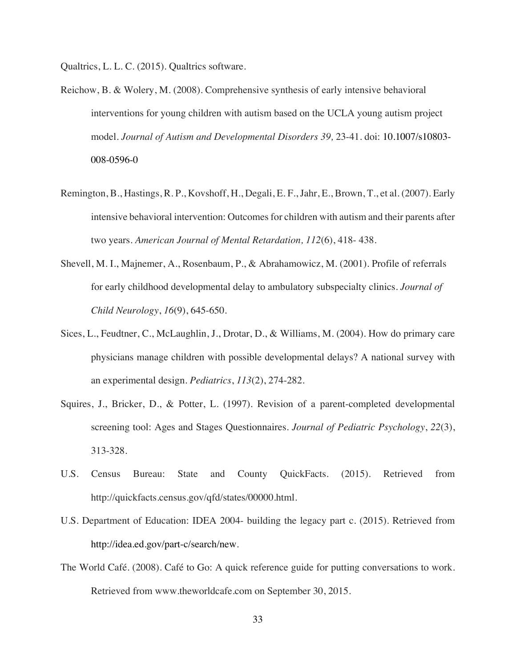Qualtrics, L. L. C. (2015). Qualtrics software.

- Reichow, B. & Wolery, M. (2008). Comprehensive synthesis of early intensive behavioral interventions for young children with autism based on the UCLA young autism project model. *Journal of Autism and Developmental Disorders 39,* 23-41. doi: 10.1007/s10803- 008-0596-0
- Remington, B., Hastings, R. P., Kovshoff, H., Degali, E. F., Jahr, E., Brown, T., et al. (2007). Early intensive behavioral intervention: Outcomes for children with autism and their parents after two years. *American Journal of Mental Retardation, 112*(6), 418- 438.
- Shevell, M. I., Majnemer, A., Rosenbaum, P., & Abrahamowicz, M. (2001). Profile of referrals for early childhood developmental delay to ambulatory subspecialty clinics. *Journal of Child Neurology*, *16*(9), 645-650.
- Sices, L., Feudtner, C., McLaughlin, J., Drotar, D., & Williams, M. (2004). How do primary care physicians manage children with possible developmental delays? A national survey with an experimental design. *Pediatrics*, *113*(2), 274-282.
- Squires, J., Bricker, D., & Potter, L. (1997). Revision of a parent-completed developmental screening tool: Ages and Stages Questionnaires. *Journal of Pediatric Psychology*, *22*(3), 313-328.
- U.S. Census Bureau: State and County QuickFacts. (2015). Retrieved from http://quickfacts.census.gov/qfd/states/00000.html.
- U.S. Department of Education: IDEA 2004- building the legacy part c. (2015). Retrieved from http://idea.ed.gov/part-c/search/new.
- The World Café. (2008). Café to Go: A quick reference guide for putting conversations to work. Retrieved from www.theworldcafe.com on September 30, 2015.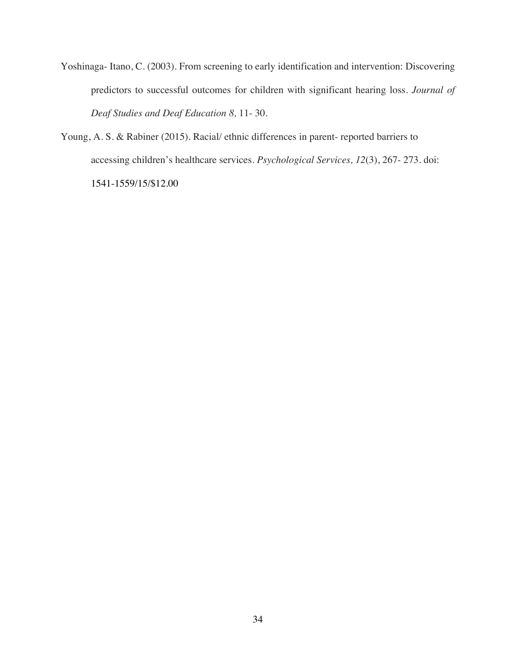- Yoshinaga- Itano, C. (2003). From screening to early identification and intervention: Discovering predictors to successful outcomes for children with significant hearing loss. *Journal of Deaf Studies and Deaf Education 8,* 11- 30.
- Young, A. S. & Rabiner (2015). Racial/ ethnic differences in parent- reported barriers to accessing children's healthcare services. *Psychological Services, 12*(3), 267- 273. doi: 1541-1559/15/\$12.00